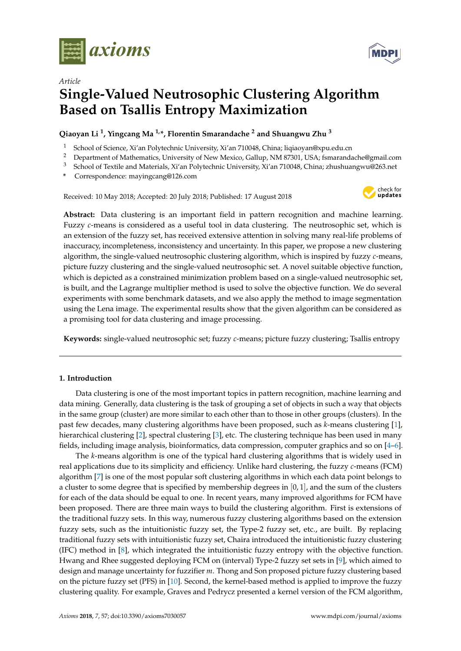

*Article*



# **Single-Valued Neutrosophic Clustering Algorithm Based on Tsallis Entropy Maximization**

**Qiaoyan Li <sup>1</sup> , Yingcang Ma 1,\*, Florentin Smarandache <sup>2</sup> and Shuangwu Zhu <sup>3</sup>**

- School of Science, Xi'an Polytechnic University, Xi'an 710048, China; liqiaoyan@xpu.edu.cn
- <sup>2</sup> Department of Mathematics, University of New Mexico, Gallup, NM 87301, USA; fsmarandache@gmail.com<br><sup>3</sup> Seboal of Taytile and Materials, Ni/an Pakytechnic University, Ni/an 710048, China; ghughugnguu@262 net
- <sup>3</sup> School of Textile and Materials, Xi'an Polytechnic University, Xi'an 710048, China; zhushuangwu@263.net
- **\*** Correspondence: mayingcang@126.com

Received: 10 May 2018; Accepted: 20 July 2018; Published: 17 August 2018



**Abstract:** Data clustering is an important field in pattern recognition and machine learning. Fuzzy *c*-means is considered as a useful tool in data clustering. The neutrosophic set, which is an extension of the fuzzy set, has received extensive attention in solving many real-life problems of inaccuracy, incompleteness, inconsistency and uncertainty. In this paper, we propose a new clustering algorithm, the single-valued neutrosophic clustering algorithm, which is inspired by fuzzy *c*-means, picture fuzzy clustering and the single-valued neutrosophic set. A novel suitable objective function, which is depicted as a constrained minimization problem based on a single-valued neutrosophic set, is built, and the Lagrange multiplier method is used to solve the objective function. We do several experiments with some benchmark datasets, and we also apply the method to image segmentation using the Lena image. The experimental results show that the given algorithm can be considered as a promising tool for data clustering and image processing.

**Keywords:** single-valued neutrosophic set; fuzzy *c*-means; picture fuzzy clustering; Tsallis entropy

# **1. Introduction**

Data clustering is one of the most important topics in pattern recognition, machine learning and data mining. Generally, data clustering is the task of grouping a set of objects in such a way that objects in the same group (cluster) are more similar to each other than to those in other groups (clusters). In the past few decades, many clustering algorithms have been proposed, such as *k*-means clustering [\[1\]](#page-10-0), hierarchical clustering [\[2\]](#page-10-1), spectral clustering [\[3\]](#page-10-2), etc. The clustering technique has been used in many fields, including image analysis, bioinformatics, data compression, computer graphics and so on [\[4–](#page-10-3)[6\]](#page-10-4).

The *k*-means algorithm is one of the typical hard clustering algorithms that is widely used in real applications due to its simplicity and efficiency. Unlike hard clustering, the fuzzy *c*-means (FCM) algorithm [\[7\]](#page-10-5) is one of the most popular soft clustering algorithms in which each data point belongs to a cluster to some degree that is specified by membership degrees in  $[0, 1]$ , and the sum of the clusters for each of the data should be equal to one. In recent years, many improved algorithms for FCM have been proposed. There are three main ways to build the clustering algorithm. First is extensions of the traditional fuzzy sets. In this way, numerous fuzzy clustering algorithms based on the extension fuzzy sets, such as the intuitionistic fuzzy set, the Type-2 fuzzy set, etc., are built. By replacing traditional fuzzy sets with intuitionistic fuzzy set, Chaira introduced the intuitionistic fuzzy clustering (IFC) method in [\[8\]](#page-10-6), which integrated the intuitionistic fuzzy entropy with the objective function. Hwang and Rhee suggested deploying FCM on (interval) Type-2 fuzzy set sets in [\[9\]](#page-10-7), which aimed to design and manage uncertainty for fuzzifier *m*. Thong and Son proposed picture fuzzy clustering based on the picture fuzzy set (PFS) in [\[10\]](#page-11-0). Second, the kernel-based method is applied to improve the fuzzy clustering quality. For example, Graves and Pedrycz presented a kernel version of the FCM algorithm,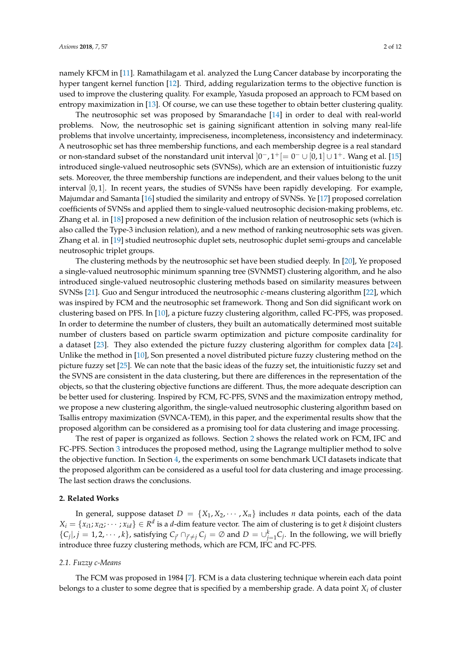namely KFCM in [\[11\]](#page-11-1). Ramathilagam et al. analyzed the Lung Cancer database by incorporating the hyper tangent kernel function [\[12\]](#page-11-2). Third, adding regularization terms to the objective function is used to improve the clustering quality. For example, Yasuda proposed an approach to FCM based on entropy maximization in [\[13\]](#page-11-3). Of course, we can use these together to obtain better clustering quality.

The neutrosophic set was proposed by Smarandache [\[14\]](#page-11-4) in order to deal with real-world problems. Now, the neutrosophic set is gaining significant attention in solving many real-life problems that involve uncertainty, impreciseness, incompleteness, inconsistency and indeterminacy. A neutrosophic set has three membership functions, and each membership degree is a real standard or non-standard subset of the nonstandard unit interval  $]0^-, 1^+[=0^- \cup [0,1] \cup 1^+$ . Wang et al. [\[15\]](#page-11-5) introduced single-valued neutrosophic sets (SVNSs), which are an extension of intuitionistic fuzzy sets. Moreover, the three membership functions are independent, and their values belong to the unit interval [0, 1]. In recent years, the studies of SVNSs have been rapidly developing. For example, Majumdar and Samanta [\[16\]](#page-11-6) studied the similarity and entropy of SVNSs. Ye [\[17\]](#page-11-7) proposed correlation coefficients of SVNSs and applied them to single-valued neutrosophic decision-making problems, etc. Zhang et al. in [\[18\]](#page-11-8) proposed a new definition of the inclusion relation of neutrosophic sets (which is also called the Type-3 inclusion relation), and a new method of ranking neutrosophic sets was given. Zhang et al. in [\[19\]](#page-11-9) studied neutrosophic duplet sets, neutrosophic duplet semi-groups and cancelable neutrosophic triplet groups.

The clustering methods by the neutrosophic set have been studied deeply. In [\[20\]](#page-11-10), Ye proposed a single-valued neutrosophic minimum spanning tree (SVNMST) clustering algorithm, and he also introduced single-valued neutrosophic clustering methods based on similarity measures between SVNSs [\[21\]](#page-11-11). Guo and Sengur introduced the neutrosophic *c*-means clustering algorithm [\[22\]](#page-11-12), which was inspired by FCM and the neutrosophic set framework. Thong and Son did significant work on clustering based on PFS. In [\[10\]](#page-11-0), a picture fuzzy clustering algorithm, called FC-PFS, was proposed. In order to determine the number of clusters, they built an automatically determined most suitable number of clusters based on particle swarm optimization and picture composite cardinality for a dataset [\[23\]](#page-11-13). They also extended the picture fuzzy clustering algorithm for complex data [\[24\]](#page-11-14). Unlike the method in [\[10\]](#page-11-0), Son presented a novel distributed picture fuzzy clustering method on the picture fuzzy set [\[25\]](#page-11-15). We can note that the basic ideas of the fuzzy set, the intuitionistic fuzzy set and the SVNS are consistent in the data clustering, but there are differences in the representation of the objects, so that the clustering objective functions are different. Thus, the more adequate description can be better used for clustering. Inspired by FCM, FC-PFS, SVNS and the maximization entropy method, we propose a new clustering algorithm, the single-valued neutrosophic clustering algorithm based on Tsallis entropy maximization (SVNCA-TEM), in this paper, and the experimental results show that the proposed algorithm can be considered as a promising tool for data clustering and image processing.

The rest of paper is organized as follows. Section [2](#page-1-0) shows the related work on FCM, IFC and FC-PFS. Section [3](#page-3-0) introduces the proposed method, using the Lagrange multiplier method to solve the objective function. In Section [4,](#page-6-0) the experiments on some benchmark UCI datasets indicate that the proposed algorithm can be considered as a useful tool for data clustering and image processing. The last section draws the conclusions.

#### <span id="page-1-0"></span>**2. Related Works**

In general, suppose dataset  $D = \{X_1, X_2, \dots, X_n\}$  includes *n* data points, each of the data  $X_i = \{x_{i1}; x_{i2}; \cdots; x_{id}\} \in R^d$  is a *d*-dim feature vector. The aim of clustering is to get *k* disjoint clusters  ${C_j | i, j = 1, 2, \cdots, k}$ , satisfying  $C_{j'} \cap_{j' \neq j} C_j = \emptyset$  and  $D = \bigcup_{j=1}^k C_j$ . In the following, we will briefly introduce three fuzzy clustering methods, which are FCM, IFC and FC-PFS.

#### *2.1. Fuzzy c-Means*

The FCM was proposed in 1984 [\[7\]](#page-10-5). FCM is a data clustering technique wherein each data point belongs to a cluster to some degree that is specified by a membership grade. A data point *X<sup>i</sup>* of cluster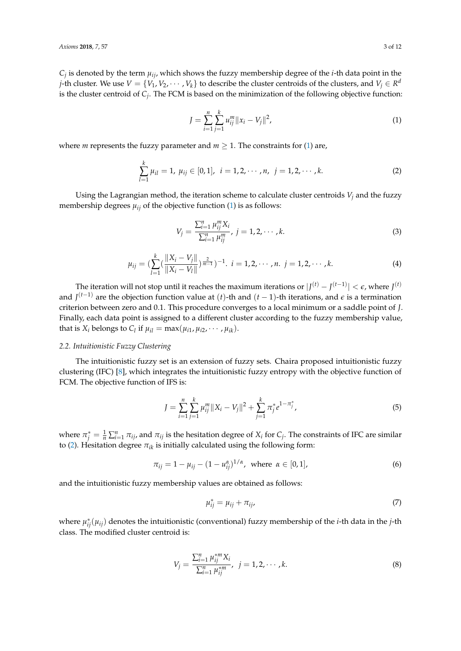$C_j$  is denoted by the term  $\mu_{ij}$ , which shows the fuzzy membership degree of the *i*-th data point in the *j*-th cluster. We use  $V = \{V_1, V_2, \cdots, V_k\}$  to describe the cluster centroids of the clusters, and  $V_j \in R^d$ is the cluster centroid of *C<sup>j</sup>* . The FCM is based on the minimization of the following objective function:

<span id="page-2-0"></span>
$$
J = \sum_{i=1}^{n} \sum_{j=1}^{k} u_{ij}^{m} ||x_i - V_j||^2,
$$
\n(1)

where *m* represents the fuzzy parameter and  $m \geq 1$ . The constraints for [\(1\)](#page-2-0) are,

<span id="page-2-1"></span>
$$
\sum_{l=1}^{k} \mu_{il} = 1, \ \mu_{ij} \in [0,1], \ \ i = 1,2,\cdots,n, \ \ j = 1,2,\cdots,k. \tag{2}
$$

Using the Lagrangian method, the iteration scheme to calculate cluster centroids *V<sup>j</sup>* and the fuzzy membership degrees  $\mu_{ij}$  of the objective function [\(1\)](#page-2-0) is as follows:

$$
V_j = \frac{\sum_{i=1}^n \mu_{ij}^m X_i}{\sum_{i=1}^n \mu_{ij}^m}, \ j = 1, 2, \cdots, k. \tag{3}
$$

$$
\mu_{ij} = \left(\sum_{l=1}^k \left(\frac{\|X_i - V_j\|}{\|X_i - V_l\|}\right)^{\frac{2}{m-1}}\right)^{-1}, \ i = 1, 2, \cdots, n. \ j = 1, 2, \cdots, k. \tag{4}
$$

The iteration will not stop until it reaches the maximum iterations or  $|J^{(t)} - J^{(t-1)}| < \epsilon$ , where  $J^{(t)}$ and *J* (*t*−1) are the objection function value at (*t*)-th and (*t* − 1)-th iterations, and *e* is a termination criterion between zero and 0.1. This procedure converges to a local minimum or a saddle point of *J*. Finally, each data point is assigned to a different cluster according to the fuzzy membership value, that is  $X_i$  belongs to  $C_l$  if  $\mu_{il} = \max(\mu_{i1}, \mu_{i2}, \cdots, \mu_{ik}).$ 

#### *2.2. Intuitionistic Fuzzy Clustering*

The intuitionistic fuzzy set is an extension of fuzzy sets. Chaira proposed intuitionistic fuzzy clustering (IFC) [\[8\]](#page-10-6), which integrates the intuitionistic fuzzy entropy with the objective function of FCM. The objective function of IFS is:

$$
J = \sum_{i=1}^{n} \sum_{j=1}^{k} \mu_{ij}^{m} \|X_i - V_j\|^2 + \sum_{j=1}^{k} \pi_j^* e^{1 - \pi_j^*},
$$
\n<sup>(5)</sup>

where  $\pi_j^* = \frac{1}{n} \sum_{i=1}^n \pi_{ij}$ , and  $\pi_{ij}$  is the hesitation degree of  $X_i$  for  $C_j$ . The constraints of IFC are similar to [\(2\)](#page-2-1). Hesitation degree  $\pi_{ik}$  is initially calculated using the following form:

$$
\pi_{ij} = 1 - \mu_{ij} - (1 - u_{ij}^{\alpha})^{1/\alpha}, \text{ where } \alpha \in [0, 1],
$$
 (6)

and the intuitionistic fuzzy membership values are obtained as follows:

$$
\mu_{ij}^* = \mu_{ij} + \pi_{ij},\tag{7}
$$

where *µ* ∗ *ij*(*µij*) denotes the intuitionistic (conventional) fuzzy membership of the *i*-th data in the *j*-th class. The modified cluster centroid is:

$$
V_j = \frac{\sum_{i=1}^n \mu_{ij}^{*m} X_i}{\sum_{i=1}^n \mu_{ij}^{*m}}, \ \ j = 1, 2, \cdots, k. \tag{8}
$$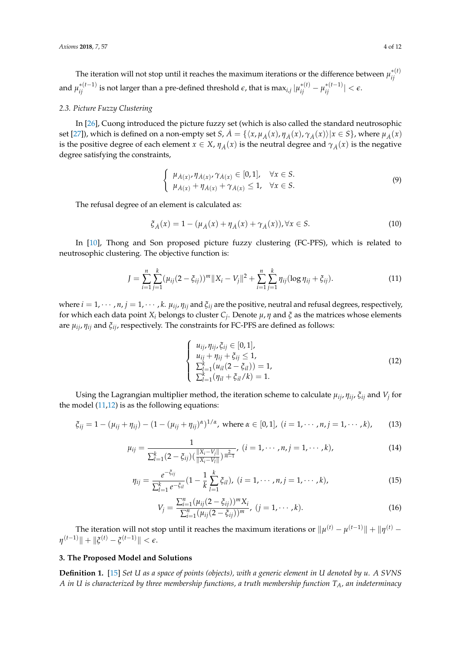The iteration will not stop until it reaches the maximum iterations or the difference between  $\mu^{*(t)}_{ii}$ *ij* and  $\mu_{ij}^{*(t-1)}$  is not larger than a pre-defined threshold  $\varepsilon$ , that is max $_{i,j}|\mu_{ij}^{*(t)}-\mu_{ij}^{*(t-1)}|<\varepsilon$ .

# *2.3. Picture Fuzzy Clustering*

In [\[26\]](#page-11-16), Cuong introduced the picture fuzzy set (which is also called the standard neutrosophic set [\[27\]](#page-11-17)), which is defined on a non-empty set *S*,  $\dot{A} = \{\langle x, \mu_{\dot{A}}(x), \eta_{\dot{A}}(x), \gamma_{\dot{A}}(x)\rangle | x \in S\}$ , where  $\mu_{\dot{A}}(x)$ is the positive degree of each element  $x \in X$ ,  $\eta_{\hat{A}}(x)$  is the neutral degree and  $\gamma_{\hat{A}}(x)$  is the negative degree satisfying the constraints,

$$
\begin{cases}\n\mu_{\dot{A}(x)}, \eta_{\dot{A}(x)}, \gamma_{\dot{A}(x)} \in [0, 1], & \forall x \in S. \\
\mu_{\dot{A}(x)} + \eta_{\dot{A}(x)} + \gamma_{\dot{A}(x)} \le 1, & \forall x \in S.\n\end{cases}\n\tag{9}
$$

The refusal degree of an element is calculated as:

$$
\xi_{\dot{A}}(x) = 1 - (\mu_{\dot{A}}(x) + \eta_{\dot{A}}(x) + \gamma_{\dot{A}}(x)), \forall x \in S.
$$
 (10)

In [\[10\]](#page-11-0), Thong and Son proposed picture fuzzy clustering (FC-PFS), which is related to neutrosophic clustering. The objective function is:

<span id="page-3-1"></span>
$$
J = \sum_{i=1}^{n} \sum_{j=1}^{k} (\mu_{ij} (2 - \xi_{ij}))^{m} \|X_i - V_j\|^2 + \sum_{i=1}^{n} \sum_{j=1}^{k} \eta_{ij} (\log \eta_{ij} + \xi_{ij}).
$$
 (11)

where  $i = 1, \dots, n$ ,  $j = 1, \dots, k$ .  $\mu_{ij}$ ,  $\eta_{ij}$  and  $\xi_{ij}$  are the positive, neutral and refusal degrees, respectively, for which each data point *X<sup>i</sup>* belongs to cluster *C<sup>j</sup>* . Denote *µ*, *η* and *ξ* as the matrices whose elements are *µij*, *ηij* and *ξij*, respectively. The constraints for FC-PFS are defined as follows:

<span id="page-3-2"></span>
$$
\begin{cases}\n u_{ij}, \eta_{ij}, \xi_{ij} \in [0, 1], \\
 u_{ij} + \eta_{ij} + \xi_{ij} \le 1, \\
 \sum_{l=1}^{k} (u_{il}(2 - \xi_{il})) = 1, \\
 \sum_{l=1}^{k} (\eta_{il} + \xi_{il}/k) = 1.\n\end{cases}
$$
\n(12)

Using the Lagrangian multiplier method, the iteration scheme to calculate *µij*, *ηij*, *ξij* and *V<sup>j</sup>* for the model  $(11,12)$  $(11,12)$  is as the following equations:

$$
\xi_{ij} = 1 - (\mu_{ij} + \eta_{ij}) - (1 - (\mu_{ij} + \eta_{ij})^{\alpha})^{1/\alpha}, \text{ where } \alpha \in [0, 1], (i = 1, \cdots, n, j = 1, \cdots, k), \quad (13)
$$

$$
\mu_{ij} = \frac{1}{\sum_{l=1}^k (2-\xi_{ij}) (\frac{\|X_i-V_j\|}{\|X_i-V_l\|})^{\frac{2}{m-1}}}, (i=1,\cdots,n, j=1,\cdots,k),
$$
\n(14)

$$
\eta_{ij} = \frac{e^{-\xi_{ij}}}{\sum_{l=1}^k e^{-\xi_{il}}} (1 - \frac{1}{k} \sum_{l=1}^k \xi_{il}), \ (i = 1, \cdots, n, j = 1, \cdots, k), \tag{15}
$$

$$
V_j = \frac{\sum_{i=1}^n (\mu_{ij}(2 - \xi_{ij}))^m X_i}{\sum_{i=1}^n (\mu_{ij}(2 - \xi_{ij}))^m}, (j = 1, \cdots, k).
$$
 (16)

The iteration will not stop until it reaches the maximum iterations or  $\|\mu^{(t)}-\mu^{(t-1)}\|+\|\eta^{(t)} \|\eta^{(t-1)}\| + \|\xi^{(t)} - \xi^{(t-1)}\| < \epsilon.$ 

### <span id="page-3-0"></span>**3. The Proposed Model and Solutions**

<span id="page-3-3"></span>**Definition 1.** [\[15\]](#page-11-5) *Set U as a space of points (objects), with a generic element in U denoted by u. A SVNS A in U is characterized by three membership functions, a truth membership function TA, an indeterminacy*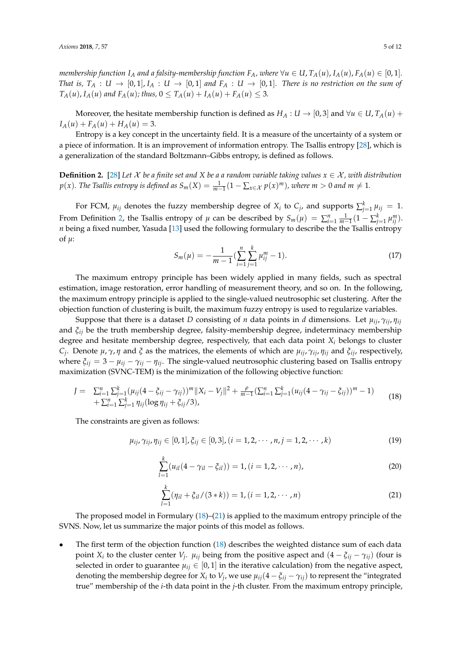membership function  $I_A$  and a falsity-membership function  $F_A$ , where  $\forall u \in U$ ,  $T_A(u)$ ,  $I_A(u)$ ,  $F_A(u) \in [0,1]$ . *That is,*  $T_A: U \to [0,1], I_A: U \to [0,1]$  and  $F_A: U \to [0,1]$ . There is no restriction on the sum of  $T_A(u)$ ,  $I_A(u)$  and  $F_A(u)$ ; thus,  $0 \le T_A(u) + I_A(u) + F_A(u) \le 3$ .

Moreover, the hesitate membership function is defined as  $H_A: U \to [0, 3]$  and  $\forall u \in U$ ,  $T_A(u)$  +  $I_A(u) + F_A(u) + H_A(u) = 3.$ 

Entropy is a key concept in the uncertainty field. It is a measure of the uncertainty of a system or a piece of information. It is an improvement of information entropy. The Tsallis entropy [\[28\]](#page-11-18), which is a generalization of the standard Boltzmann–Gibbs entropy, is defined as follows.

<span id="page-4-0"></span>**Definition 2.** [\[28\]](#page-11-18) Let  $X$  be a finite set and  $X$  be a a random variable taking values  $x \in X$ , with distribution  $p(x)$ . The Tsallis entropy is defined as  $S_m(X) = \frac{1}{m-1}(1 - \sum_{x \in \mathcal{X}} p(x)^m)$ , where  $m > 0$  and  $m \neq 1$ .

For FCM,  $\mu_{ij}$  denotes the fuzzy membership degree of  $X_i$  to  $C_j$ , and supports  $\sum_{j=1}^k \mu_{ij} = 1$ . From Definition [2,](#page-4-0) the Tsallis entropy of  $\mu$  can be described by  $S_m(\mu) = \sum_{i=1}^n \frac{1}{m-1} (1 - \sum_{j=1}^k \mu_{ij}^m)$ . *n* being a fixed number, Yasuda [\[13\]](#page-11-3) used the following formulary to describe the the Tsallis entropy of  $\mu$ :

$$
S_m(\mu) = -\frac{1}{m-1} \left( \sum_{i=1}^n \sum_{j=1}^k \mu_{ij}^m - 1 \right). \tag{17}
$$

The maximum entropy principle has been widely applied in many fields, such as spectral estimation, image restoration, error handling of measurement theory, and so on. In the following, the maximum entropy principle is applied to the single-valued neutrosophic set clustering. After the objection function of clustering is built, the maximum fuzzy entropy is used to regularize variables.

Suppose that there is a dataset *D* consisting of *n* data points in *d* dimensions. Let  $\mu_{ii}$ ,  $\gamma_{ii}$ ,  $\eta_{ii}$ and *ξij* be the truth membership degree, falsity-membership degree, indeterminacy membership degree and hesitate membership degree, respectively, that each data point *X<sup>i</sup>* belongs to cluster *Cj* . Denote *µ*, *γ*, *η* and *ξ* as the matrices, the elements of which are *µij*, *γij*, *ηij* and *ξij*, respectively, where  $\xi_{ij} = 3 - \mu_{ij} - \gamma_{ij} - \eta_{ij}$ . The single-valued neutrosophic clustering based on Tsallis entropy maximization (SVNC-TEM) is the minimization of the following objective function:

<span id="page-4-1"></span>
$$
J = \sum_{i=1}^{n} \sum_{j=1}^{k} (\mu_{ij} (4 - \xi_{ij} - \gamma_{ij}))^{m} \|X_i - V_j\|^2 + \frac{\rho}{m-1} (\sum_{i=1}^{n} \sum_{j=1}^{k} (u_{ij} (4 - \gamma_{ij} - \xi_{ij}))^{m} - 1) + \sum_{i=1}^{n} \sum_{j=1}^{k} \eta_{ij} (\log \eta_{ij} + \xi_{ij}/3), \qquad (18)
$$

The constraints are given as follows:

<span id="page-4-3"></span>
$$
\mu_{ij}, \gamma_{ij}, \eta_{ij} \in [0,1], \xi_{ij} \in [0,3], (i = 1,2,\cdots,n, j = 1,2,\cdots,k)
$$
\n(19)

<span id="page-4-4"></span>
$$
\sum_{l=1}^{k} (u_{il}(4 - \gamma_{il} - \xi_{il})) = 1, (i = 1, 2, \cdots, n),
$$
\n(20)

<span id="page-4-2"></span>
$$
\sum_{l=1}^{k} (\eta_{il} + \xi_{il}/(3*k)) = 1, (i = 1, 2, \cdots, n)
$$
\n(21)

The proposed model in Formulary [\(18\)](#page-4-1)–[\(21\)](#page-4-2) is applied to the maximum entropy principle of the SVNS. Now, let us summarize the major points of this model as follows.

• The first term of the objection function [\(18\)](#page-4-1) describes the weighted distance sum of each data point *X*<sup>*i*</sup> to the cluster center *V*<sup>*j*</sup>. *µ*<sub>*ij*</sub> being from the positive aspect and  $(4 - \xi_{ij} - \gamma_{ij})$  (four is selected in order to guarantee  $\mu_{ij} \in [0,1]$  in the iterative calculation) from the negative aspect, denoting the membership degree for  $X_i$  to  $V_j$ , we use  $\mu_{ij}(4-\xi_{ij}-\gamma_{ij})$  to represent the "integrated true" membership of the *i*-th data point in the *j*-th cluster. From the maximum entropy principle,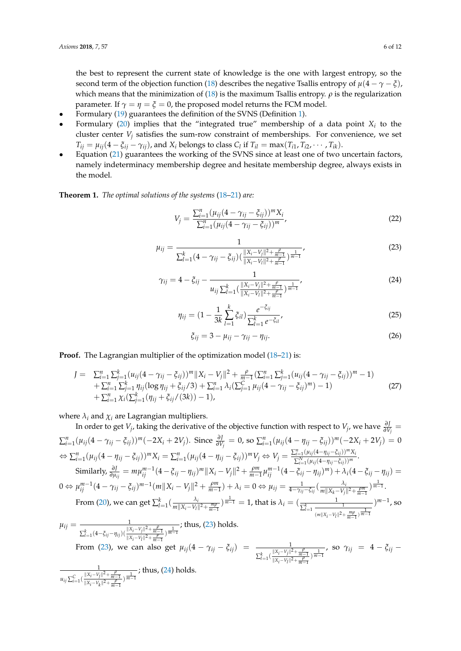the best to represent the current state of knowledge is the one with largest entropy, so the second term of the objection function [\(18\)](#page-4-1) describes the negative Tsallis entropy of  $\mu(4 - \gamma - \xi)$ , which means that the minimization of  $(18)$  is the maximum Tsallis entropy.  $\rho$  is the regularization parameter. If  $\gamma = \eta = \xi = 0$ , the proposed model returns the FCM model.

- Formulary [\(19\)](#page-4-3) guarantees the definition of the SVNS (Definition [1\)](#page-3-3).
- Formulary  $(20)$  implies that the "integrated true" membership of a data point  $X_i$  to the cluster center  $V_j$  satisfies the sum-row constraint of memberships. For convenience, we set  $T_{ij} = \mu_{ij}(4 - \xi_{ij} - \gamma_{ij})$ , and  $X_i$  belongs to class  $C_l$  if  $T_{il} = \max(T_{i1}, T_{i2}, \cdots, T_{ik})$ .
- Equation [\(21\)](#page-4-2) guarantees the working of the SVNS since at least one of two uncertain factors, namely indeterminacy membership degree and hesitate membership degree, always exists in the model.

<span id="page-5-3"></span>**Theorem 1.** *The optimal solutions of the systems* [\(18](#page-4-1)[–21\)](#page-4-2) *are:*

<span id="page-5-4"></span>
$$
V_j = \frac{\sum_{i=1}^n (\mu_{ij} (4 - \gamma_{ij} - \xi_{ij}))^m X_i}{\sum_{i=1}^n (\mu_{ij} (4 - \gamma_{ij} - \xi_{ij}))^m},
$$
\n(22)

<span id="page-5-0"></span>
$$
\mu_{ij} = \frac{1}{\sum_{l=1}^{k} (4 - \gamma_{ij} - \xi_{ij}) \left( \frac{\|X_i - V_j\|^2 + \frac{\rho}{m-1}}{\|X_i - V_l\|^2 + \frac{\rho}{m-1}} \right)^{\frac{1}{m-1}}},\tag{23}
$$

<span id="page-5-1"></span>
$$
\gamma_{ij} = 4 - \xi_{ij} - \frac{1}{u_{ij} \sum_{l=1}^{k} \left( \frac{\|X_i - V_j\|^2 + \frac{\rho}{m-1}}{\|X_i - V_l\|^2 + \frac{\rho}{m-1}} \right)^{\frac{1}{m-1}}},\tag{24}
$$

<span id="page-5-5"></span>
$$
\eta_{ij} = (1 - \frac{1}{3k} \sum_{l=1}^{k} \xi_{il}) \frac{e^{-\xi_{ij}}}{\sum_{l=1}^{k} e^{-\xi_{il}}},
$$
\n(25)

<span id="page-5-2"></span>
$$
\xi_{ij} = 3 - \mu_{ij} - \gamma_{ij} - \eta_{ij}.\tag{26}
$$

**Proof.** The Lagrangian multiplier of the optimization model [\(18](#page-4-1)[–21\)](#page-4-2) is:

$$
J = \sum_{i=1}^{n} \sum_{j=1}^{k} (u_{ij}(4 - \gamma_{ij} - \xi_{ij}))^{m} ||X_i - V_j||^2 + \frac{\rho}{m-1} (\sum_{i=1}^{n} \sum_{j=1}^{k} (u_{ij}(4 - \gamma_{ij} - \xi_{ij}))^{m} - 1) + \sum_{i=1}^{n} \sum_{j=1}^{k} \eta_{ij} (\log \eta_{ij} + \xi_{ij}/3) + \sum_{i=1}^{n} \lambda_i (\sum_{j=1}^{C} \mu_{ij}(4 - \gamma_{ij} - \xi_{ij})^{m}) - 1) + \sum_{i=1}^{n} \chi_i (\sum_{j=1}^{k} (\eta_{ij} + \xi_{ij}/(3k)) - 1),
$$
\n(27)

where  $\lambda_i$  and  $\chi_i$  are Lagrangian multipliers.

In order to get  $V_j$ , taking the derivative of the objective function with respect to  $V_j$ , we have  $\frac{\partial J}{\partial V_j} =$  $\sum_{i=1}^{n} (\mu_{ij}(4-\gamma_{ij}-\xi_{ij}))^{m}(-2X_i+2V_j)$ . Since  $\frac{\partial J}{\partial V_j}=0$ , so  $\sum_{i=1}^{n} (\mu_{ij}(4-\eta_{ij}-\xi_{ij}))^{m}(-2X_i+2V_j)=0$  $\Leftrightarrow \sum_{i=1}^{n} (\mu_{ij}(4-\eta_{ij}-\xi_{ij}))^{m} X_i = \sum_{i=1}^{n} (\mu_{ij}(4-\eta_{ij}-\xi_{ij}))^{m} V_j \Leftrightarrow V_j = \frac{\sum_{i=1}^{n} (\mu_{ij}(4-\eta_{ij}-\xi_{ij}))^{m} X_i}{\sum_{i=1}^{N} (\mu_{ii}(4-\eta_{ii}-\xi_{ii}))^{m}}$  $\sum_{i=1}^{N} (\mu_{ij}(4-\eta_{ij}-\xi_{ij}))^m$ . Similarly,  $\frac{\partial J}{\partial \mu_{ij}} = m \mu_{ij}^{m-1} (4 - \xi_{ij} - \eta_{ij})^m \|X_i - V_j\|^2 + \frac{\rho m}{m-1} \mu_{ij}^{m-1} (4 - \xi_{ij} - \eta_{ij})^m) + \lambda_i (4 - \xi_{ij} - \eta_{ij}) =$  $0 \Leftrightarrow \mu_{ij}^{m-1}(4-\gamma_{ij}-\xi_{ij})^{m-1}(m||X_i-V_j||^2+\frac{\rho m}{m-1})+\lambda_i=0 \Leftrightarrow \mu_{ij}=\frac{1}{4-\gamma_{ij}-\xi_{ij}}(\frac{\lambda_i}{m||X_k-V_i|})$  $\frac{\lambda_i}{m\|X_k-V_j\|^2+\frac{\rho m}{m-1}}$ )  $\frac{1}{m-1}$ . From [\(20\)](#page-4-4), we can get  $\sum_{l=1}^k(\frac{\lambda_l}{m||X_i-V_l|})$  $\frac{\lambda_i}{m||X_i-V_l||^2 + \frac{m\rho}{m-1}}$ )  $\frac{1}{m-1} = 1$ , that is  $\lambda_i = (\frac{1}{\sum_{l=1}^k \frac{1}{\sum_{l=1}^k \frac{m_l}{n-1}}}$  $(m||X_i-V_l||^2+\frac{m\rho}{m-1})\frac{1}{m-1}$ ) *m*−1 , so

$$
\mu_{ij} = \frac{1}{\sum_{l=1}^{k} (4 - \xi_{ij} - \eta_{ij}) (\frac{\|X_i - V_j\|^2 + \frac{\rho}{m-1}}{\|X_i - V_l\|^2 + \frac{\rho}{m-1}})^{\frac{1}{m-1}}}; \text{ thus, (23) holds.}
$$
  
From (23), we can also get  $\mu_{ij} (4 - \gamma_{ij} - \xi_{ij}) = \frac{1}{\sum_{l=1}^{k} (\frac{\|X_i - V_j\|^2 + \frac{\rho}{m-1}}{\|X_i - V_l\|^2 + \frac{\rho}{m-1}})^{\frac{1}{m-1}}}, \text{ so } \gamma_{ij} = 4 - \xi_{ij} - \frac{1}{\sum_{l=1}^{k} (\frac{\|X_i - V_j\|^2 + \frac{\rho}{m-1}}{\|X_i - V_l\|^2 + \frac{\rho}{m-1}})^{\frac{1}{m-1}}}$ 

1  $u_{ij} \sum_{i=1}^{C} \left( \frac{\|X_i - V_j\|^2 + \frac{\rho}{m-1}}{\|X_i - V_j\|^2 + \frac{\rho}{n-1}} \right)$  $\frac{||X_i-V_j||^2 + \frac{P}{m-1}}{||X_i-V_k||^2 + \frac{P}{m-1}}$ ; thus, [\(24\)](#page-5-1) holds.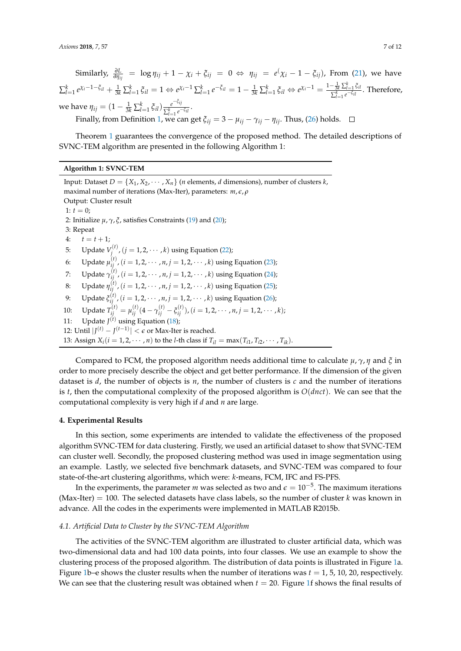$\delta$  Similarly,  $\frac{\partial L}{\partial \eta_{ij}} = \log \eta_{ij} + 1 - \chi_i + \xi_{ij} = 0 \Leftrightarrow \eta_{ij} = e(\chi_i - 1 - \xi_{ij})$ , From [\(21\)](#page-4-2), we have  $\sum_{l=1}^k e^{\chi_i - 1 - \xi_{il}} + \frac{1}{3k} \sum_{l=1}^k \xi_{il} = 1 \Leftrightarrow e^{\chi_i - 1} \sum_{l=1}^k e^{-\xi_{il}} = 1 - \frac{1}{3k} \sum_{l=1}^k \xi_{il} \Leftrightarrow e^{\chi_i - 1} = \frac{1 - \frac{1}{3k} \sum_{l=1}^k \xi_{il}}{\sum_{j=1}^k e^{-\xi_{il}}}$  $\frac{3k}{\sum_{l=1}^{k}e^{-\xi_{il}}}$ . Therefore, *w*e have  $η_{ij} = (1 - \frac{1}{3k} \sum_{l=1}^{k} \xi_{il}) \frac{e^{-\xi_{ij}}}{\sum_{l=1}^{k} e^{-\xi_{il}}}$  $\frac{e^{-t}}{\sum_{l=1}^k e^{-\xi_{il}}}$ . Finally, from Definition [1,](#page-3-3) we can get  $\xi_{ij} = 3 - \mu_{ij} - \gamma_{ij} - \eta_{ij}$ . Thus, [\(26\)](#page-5-2) holds.

Theorem [1](#page-5-3) guarantees the convergence of the proposed method. The detailed descriptions of SVNC-TEM algorithm are presented in the following Algorithm 1:

# **Algorithm 1: SVNC-TEM**

Input: Dataset  $D = \{X_1, X_2, \cdots, X_n\}$  (*n* elements, *d* dimensions), number of clusters *k*, maximal number of iterations (Max-Iter), parameters: *m*, *e*, *ρ* Output: Cluster result 1:  $t = 0$ ; 2: Initialize *µ*, *γ*, *ξ*, satisfies Constraints [\(19\)](#page-4-3) and [\(20\)](#page-4-4); 3: Repeat 4:  $t = t + 1;$ 5: Update  $V_i^{(t)}$ ,  $(j = 1, 2, \cdots, k)$  using Equation [\(22\)](#page-5-4); *j* 6: Update  $\mu_{ij}^{(t)}$ ,  $(i = 1, 2, \dots, n, j = 1, 2, \dots, k)$  using Equation [\(23\)](#page-5-0); 7: Update *γ* (*t*) *ij* ,(*i* = 1, 2, · · · , *n*, *j* = 1, 2, · · · , *k*) using Equation [\(24\)](#page-5-1); 8: Update  $η_{ij}^{(t)}$ , (*i* = 1, 2, · · · , *n*, *j* = 1, 2, · · · , *k*) using Equation [\(25\)](#page-5-5); 9: Update  $\xi_{ij}^{(t)}$ , (*i* = 1, 2, · · · , *n*, *j* = 1, 2, · · · , *k*) using Equation [\(26\)](#page-5-2); 10: Update  $T_{ij}^{(t)} = \mu_{ij}^{(t)} (4 - \gamma_{ij}^{(t)} - \xi_{ij}^{(t)})$ ,  $(i = 1, 2, \cdots, n, j = 1, 2, \cdots, k)$ ; 11: Update  $J<sup>(t)</sup>$  using Equation [\(18\)](#page-4-1); 12: Until  $|J^{(t)} - J^{(t-1)}| < \epsilon$  or Max-Iter is reached. 13: Assign  $X_i (i = 1, 2, \dots, n)$  to the *l*-th class if  $T_{il} = \max(T_{i1}, T_{i2}, \dots, T_{ik})$ .

Compared to FCM, the proposed algorithm needs additional time to calculate *µ*, *γ*, *η* and *ξ* in order to more precisely describe the object and get better performance. If the dimension of the given dataset is *d*, the number of objects is *n*, the number of clusters is *c* and the number of iterations is *t*, then the computational complexity of the proposed algorithm is *O*(*dnct*). We can see that the computational complexity is very high if *d* and *n* are large.

#### <span id="page-6-0"></span>**4. Experimental Results**

In this section, some experiments are intended to validate the effectiveness of the proposed algorithm SVNC-TEM for data clustering. Firstly, we used an artificial dataset to show that SVNC-TEM can cluster well. Secondly, the proposed clustering method was used in image segmentation using an example. Lastly, we selected five benchmark datasets, and SVNC-TEM was compared to four state-of-the-art clustering algorithms, which were: *k*-means, FCM, IFC and FS-PFS.

In the experiments*,* the parameter *m* was selected as two and  $\epsilon = 10^{-5}$ . The maximum iterations (Max-Iter)  $= 100$ . The selected datasets have class labels, so the number of cluster *k* was known in advance. All the codes in the experiments were implemented in MATLAB R2015b.

### *4.1. Artificial Data to Cluster by the SVNC-TEM Algorithm*

The activities of the SVNC-TEM algorithm are illustrated to cluster artificial data, which was two-dimensional data and had 100 data points, into four classes. We use an example to show the clustering process of the proposed algorithm. The distribution of data points is illustrated in Figure [1a](#page-7-0). Figure [1b](#page-7-0)–e shows the cluster results when the number of iterations was  $t = 1$ , 5, 10, 20, respectively. We can see that the clustering result was obtained when  $t = 20$ . Figure [1f](#page-7-0) shows the final results of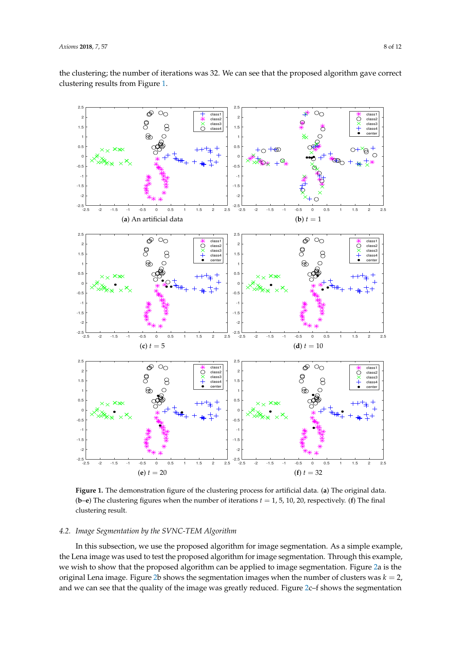the clustering; the number of iterations was 32. We can see that the proposed algorithm gave correct clustering results from Figure [1.](#page-7-0)

<span id="page-7-0"></span>

**Figure 1.** The demonstration figure of the clustering process for artificial data. (**a**) The original data. (**b**–**e**) The clustering figures when the number of iterations  $t = 1, 5, 10, 20$ , respectively. (**f**) The final clustering result.

## *4.2. Image Segmentation by the SVNC-TEM Algorithm*

In this subsection, we use the proposed algorithm for image segmentation. As a simple example, the Lena image was used to test the proposed algorithm for image segmentation. Through this example, we wish to show that the proposed algorithm can be applied to image segmentation. Figure [2a](#page-8-0) is the original Lena image. Figure [2b](#page-8-0) shows the segmentation images when the number of clusters was  $k = 2$ , and we can see that the quality of the image was greatly reduced. Figure [2c](#page-8-0)–f shows the segmentation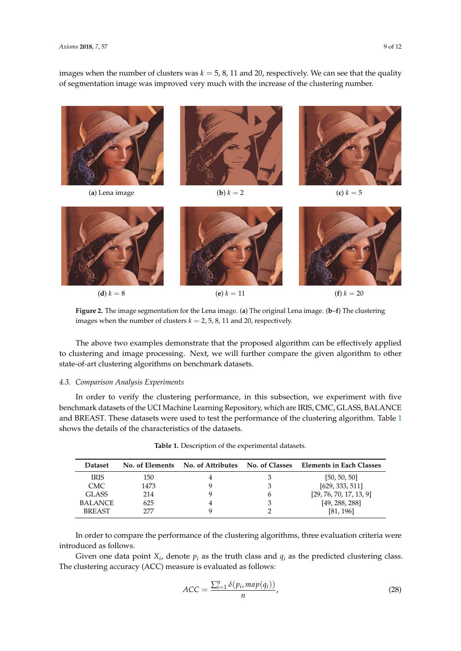images when the number of clusters was  $k = 5, 8, 11$  and 20, respectively. We can see that the quality of segmentation image was improved very much with the increase of the clustering number.

<span id="page-8-0"></span>

**Figure 2.** The image segmentation for the Lena image. (**a**) The original Lena image. (**b**–**f**) The clustering images when the number of clusters  $k = 2, 5, 8, 11$  and 20, respectively.

The above two examples demonstrate that the proposed algorithm can be effectively applied to clustering and image processing. Next, we will further compare the given algorithm to other state-of-art clustering algorithms on benchmark datasets.

## *4.3. Comparison Analysis Experiments*

In order to verify the clustering performance, in this subsection, we experiment with five benchmark datasets of the UCI Machine Learning Repository, which are IRIS, CMC, GLASS, BALANCE and BREAST. These datasets were used to test the performance of the clustering algorithm. Table [1](#page-8-1) shows the details of the characteristics of the datasets.

<span id="page-8-1"></span>

| <b>Dataset</b> |      |   | No. of Elements No. of Attributes No. of Classes Elements in Each Classes |
|----------------|------|---|---------------------------------------------------------------------------|
| <b>IRIS</b>    | 150  |   | [50, 50, 50]                                                              |
| CMC.           | 1473 |   | [629, 333, 511]                                                           |
| GLASS          | 214  | h | [29, 76, 70, 17, 13, 9]                                                   |
| <b>BALANCE</b> | 625  |   | [49, 288, 288]                                                            |
| <b>BREAST</b>  | 777  |   | [81, 196]                                                                 |

| Table 1. Description of the experimental datasets. |  |  |  |
|----------------------------------------------------|--|--|--|
|----------------------------------------------------|--|--|--|

In order to compare the performance of the clustering algorithms, three evaluation criteria were introduced as follows.

Given one data point  $X_i$ , denote  $p_i$  as the truth class and  $q_i$  as the predicted clustering class. The clustering accuracy (ACC) measure is evaluated as follows:

$$
ACC = \frac{\sum_{i=1}^{n} \delta(p_i, map(q_i))}{n},
$$
\n(28)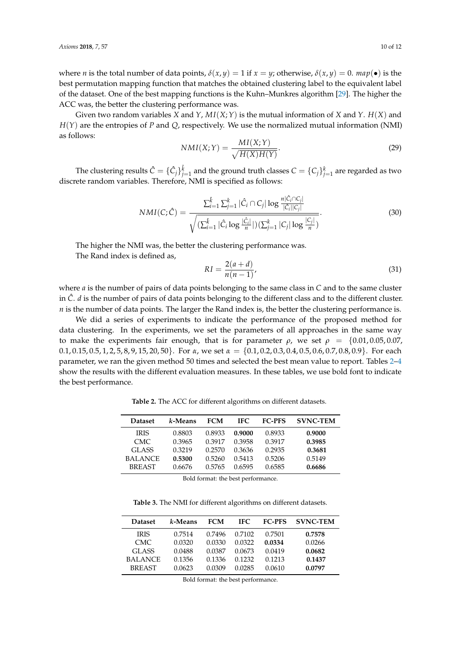where *n* is the total number of data points,  $\delta(x, y) = 1$  if  $x = y$ ; otherwise,  $\delta(x, y) = 0$ . *map*(•) is the best permutation mapping function that matches the obtained clustering label to the equivalent label of the dataset. One of the best mapping functions is the Kuhn–Munkres algorithm [\[29\]](#page-11-19). The higher the ACC was, the better the clustering performance was.

Given two random variables *X* and *Y*,  $MI(X;Y)$  is the mutual information of *X* and *Y*.  $H(X)$  and *H*(*Y*) are the entropies of *P* and *Q*, respectively. We use the normalized mutual information (NMI) as follows:

$$
NMI(X;Y) = \frac{MI(X;Y)}{\sqrt{H(X)H(Y)}}.\t(29)
$$

The clustering results  $\hat{C} = \{\hat{C}_j\}_{j=1}^{\hat{k}}$  and the ground truth classes  $C = \{C_j\}_{j=1}^k$  are regarded as two discrete random variables. Therefore, NMI is specified as follows:

$$
NMI(C; \hat{C}) = \frac{\sum_{i=1}^{\hat{k}} \sum_{j=1}^{k} |\hat{C}_{i} \cap C_{j}| \log \frac{n |\hat{C}_{i} \cap C_{j}|}{|\hat{C}_{i}| |C_{j}|}}{\sqrt{(\sum_{i=1}^{\hat{k}} |\hat{C}_{i} \log \frac{|\hat{C}_{i}|}{n}|)(\sum_{j=1}^{k} |C_{j}| \log \frac{|C_{j}|}{n})}}.
$$
\n(30)

The higher the NMI was, the better the clustering performance was.

The Rand index is defined as,

$$
RI = \frac{2(a+d)}{n(n-1)},
$$
\n(31)

where *a* is the number of pairs of data points belonging to the same class in *C* and to the same cluster in  $\hat{C}$ . *d* is the number of pairs of data points belonging to the different class and to the different cluster. *n* is the number of data points. The larger the Rand index is, the better the clustering performance is.

We did a series of experiments to indicate the performance of the proposed method for data clustering. In the experiments, we set the parameters of all approaches in the same way to make the experiments fair enough, that is for parameter *ρ*, we set  $ρ = \{0.01, 0.05, 0.07,$ 0.1, 0.15, 0.5, 1, 2, 5, 8, 9, 15, 20, 50}. For *α*, we set *α* = {0.1, 0.2, 0.3, 0.4, 0.5, 0.6, 0.7, 0.8, 0.9}. For each parameter, we ran the given method 50 times and selected the best mean value to report. Tables [2–](#page-9-0)[4](#page-10-8) show the results with the different evaluation measures. In these tables, we use bold font to indicate the best performance.

**Table 2.** The ACC for different algorithms on different datasets.

<span id="page-9-0"></span>

| <b>Dataset</b> | k-Means | <b>FCM</b> | IFC.   | <b>FC-PFS</b> | <b>SVNC-TEM</b> |
|----------------|---------|------------|--------|---------------|-----------------|
| <b>IRIS</b>    | 0.8803  | 0.8933     | 0.9000 | 0.8933        | 0.9000          |
| CMC.           | 0.3965  | 0.3917     | 0.3958 | 0.3917        | 0.3985          |
| GLASS          | 0.3219  | 0.2570     | 0.3636 | 0.2935        | 0.3681          |
| <b>BALANCE</b> | 0.5300  | 0.5260     | 0.5413 | 0.5206        | 0.5149          |
| <b>BREAST</b>  | 0.6676  | 0.5765     | 0.6595 | 0.6585        | 0.6686          |

Bold format: the best performance.

**Table 3.** The NMI for different algorithms on different datasets.

| <b>Dataset</b> | k-Means | <b>FCM</b> | IFC.   | <b>FC-PFS</b> | <b>SVNC-TEM</b> |
|----------------|---------|------------|--------|---------------|-----------------|
| <b>IRIS</b>    | 0.7514  | 0.7496     | 0.7102 | 0.7501        | 0.7578          |
| CMC.           | 0.0320  | 0.0330     | 0.0322 | 0.0334        | 0.0266          |
| <b>GLASS</b>   | 0.0488  | 0.0387     | 0.0673 | 0.0419        | 0.0682          |
| <b>BALANCE</b> | 0.1356  | 0.1336     | 0.1232 | 0.1213        | 0.1437          |
| <b>BREAST</b>  | 0.0623  | 0.0309     | 0.0285 | 0.0610        | 0.0797          |

Bold format: the best performance.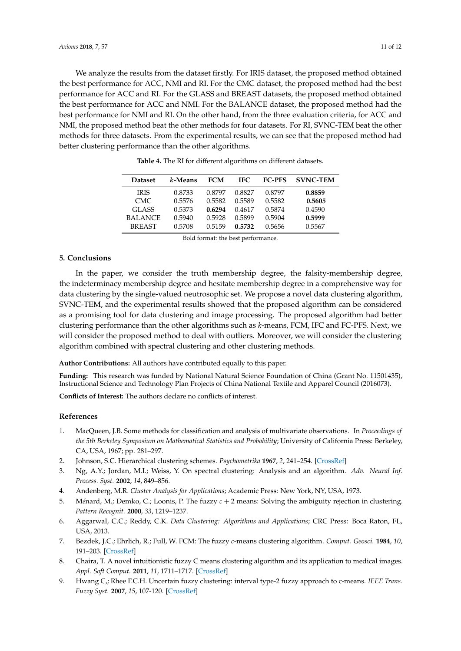We analyze the results from the dataset firstly. For IRIS dataset, the proposed method obtained the best performance for ACC, NMI and RI. For the CMC dataset, the proposed method had the best performance for ACC and RI. For the GLASS and BREAST datasets, the proposed method obtained the best performance for ACC and NMI. For the BALANCE dataset, the proposed method had the best performance for NMI and RI. On the other hand, from the three evaluation criteria, for ACC and NMI, the proposed method beat the other methods for four datasets. For RI, SVNC-TEM beat the other methods for three datasets. From the experimental results, we can see that the proposed method had better clustering performance than the other algorithms.

<span id="page-10-8"></span>

| <b>Dataset</b> | k-Means | <b>FCM</b> | IFC.   | <b>FC-PFS</b> | <b>SVNC-TEM</b> |
|----------------|---------|------------|--------|---------------|-----------------|
| <b>IRIS</b>    | 0.8733  | 0.8797     | 0.8827 | 0.8797        | 0.8859          |
| CMC.           | 0.5576  | 0.5582     | 0.5589 | 0.5582        | 0.5605          |
| GLASS          | 0.5373  | 0.6294     | 0.4617 | 0.5874        | 0.4590          |
| <b>BALANCE</b> | 0.5940  | 0.5928     | 0.5899 | 0.5904        | 0.5999          |
| <b>BREAST</b>  | 0.5708  | 0.5159     | 0.5732 | 0.5656        | 0.5567          |

**Table 4.** The RI for different algorithms on different datasets.

Bold format: the best performance.

# **5. Conclusions**

In the paper, we consider the truth membership degree, the falsity-membership degree, the indeterminacy membership degree and hesitate membership degree in a comprehensive way for data clustering by the single-valued neutrosophic set. We propose a novel data clustering algorithm, SVNC-TEM, and the experimental results showed that the proposed algorithm can be considered as a promising tool for data clustering and image processing. The proposed algorithm had better clustering performance than the other algorithms such as *k*-means, FCM, IFC and FC-PFS. Next, we will consider the proposed method to deal with outliers. Moreover, we will consider the clustering algorithm combined with spectral clustering and other clustering methods.

**Author Contributions:** All authors have contributed equally to this paper.

**Funding:** This research was funded by National Natural Science Foundation of China (Grant No. 11501435), Instructional Science and Technology Plan Projects of China National Textile and Apparel Council (2016073).

**Conflicts of Interest:** The authors declare no conflicts of interest.

## **References**

- <span id="page-10-0"></span>1. MacQueen, J.B. Some methods for classification and analysis of multivariate observations. In *Proceedings of the 5th Berkeley Symposium on Mathematical Statistics and Probability*; University of California Press: Berkeley, CA, USA, 1967; pp. 281–297.
- <span id="page-10-1"></span>2. Johnson, S.C. Hierarchical clustering schemes. *Psychometrika* **1967**, *2*, 241–254. [\[CrossRef\]](http://dx.doi.org/10.1007/BF02289588)
- <span id="page-10-2"></span>3. Ng, A.Y.; Jordan, M.I.; Weiss, Y. On spectral clustering: Analysis and an algorithm. *Adv. Neural Inf. Process. Syst.* **2002**, *14*, 849–856.
- <span id="page-10-3"></span>4. Andenberg, M.R. *Cluster Analysis for Applications*; Academic Press: New York, NY, USA, 1973.
- 5. Ménard, M.; Demko, C.; Loonis, P. The fuzzy  $c + 2$  means: Solving the ambiguity rejection in clustering. *Pattern Recognit.* **2000**, *33*, 1219–1237.
- <span id="page-10-4"></span>6. Aggarwal, C.C.; Reddy, C.K. *Data Clustering: Algorithms and Applications*; CRC Press: Boca Raton, FL, USA, 2013.
- <span id="page-10-5"></span>7. Bezdek, J.C.; Ehrlich, R.; Full, W. FCM: The fuzzy *c*-means clustering algorithm. *Comput. Geosci.* **1984**, *10*, 191–203. [\[CrossRef\]](http://dx.doi.org/10.1016/0098-3004(84)90020-7)
- <span id="page-10-6"></span>8. Chaira, T. A novel intuitionistic fuzzy C means clustering algorithm and its application to medical images. *Appl. Soft Comput.* **2011**, *11*, 1711–1717. [\[CrossRef\]](http://dx.doi.org/10.1016/j.asoc.2010.05.005)
- <span id="page-10-7"></span>9. Hwang C,; Rhee F.C.H. Uncertain fuzzy clustering: interval type-2 fuzzy approach to c-means. *IEEE Trans. Fuzzy Syst.* **2007**, *15*, 107-120. [\[CrossRef\]](http://dx.doi.org/10.1109/TFUZZ.2006.889763)